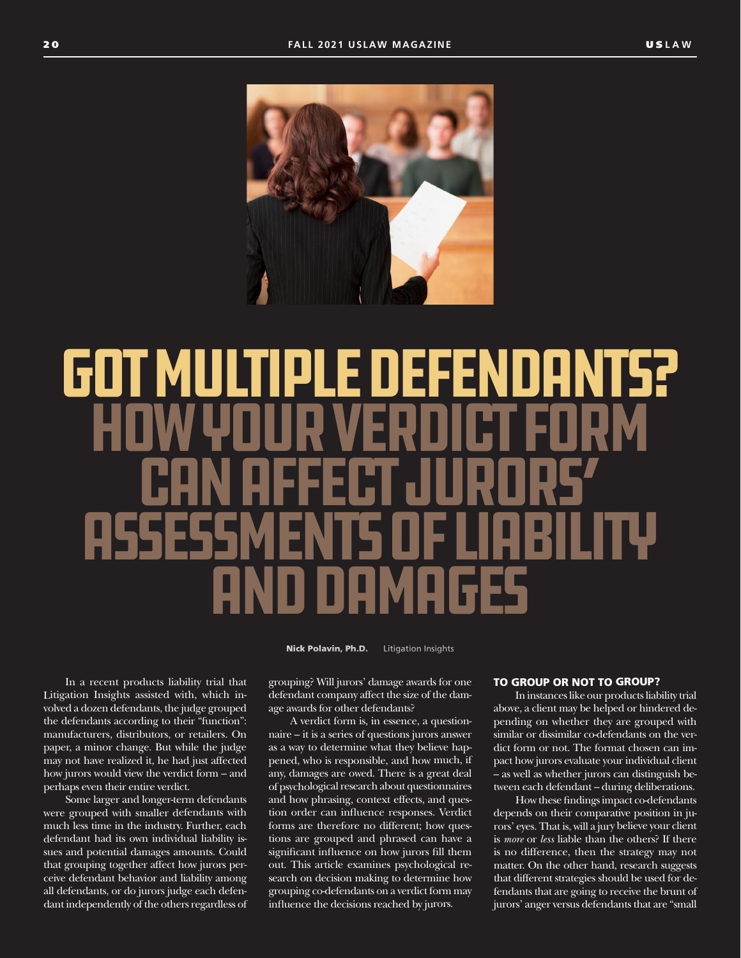

# Got Multiple Defendants? How Your Verdict Form CAN AFFECT JURORS' Assessments of Liability and Damages

Nick Polavin, Ph.D. Litigation Insights

In a recent products liability trial that Litigation Insights assisted with, which involved a dozen defendants, the judge grouped the defendants according to their "function": manufacturers, distributors, or retailers. On paper, a minor change. But while the judge may not have realized it, he had just affected how jurors would view the verdict form – and perhaps even their entire verdict.

Some larger and longer-term defendants were grouped with smaller defendants with much less time in the industry. Further, each defendant had its own individual liability issues and potential damages amounts. Could that grouping together affect how jurors perceive defendant behavior and liability among all defendants, or do jurors judge each defendant independently of the others regardless of

grouping? Will jurors' damage awards for one defendant company affect the size of the damage awards for other defendants?

A verdict form is, in essence, a questionnaire – it is a series of questions jurors answer as a way to determine what they believe happened, who is responsible, and how much, if any, damages are owed. There is a great deal of psychological research about questionnaires and how phrasing, context effects, and question order can influence responses. Verdict forms are therefore no different; how questions are grouped and phrased can have a significant influence on how jurors fill them out. This article examines psychological research on decision making to determine how grouping co-defendants on a verdict form may influence the decisions reached by jurors.

## TO GROUP OR NOT TO GROUP?

In instances like our products liability trial above, a client may be helped or hindered depending on whether they are grouped with similar or dissimilar co-defendants on the verdict form or not. The format chosen can impact how jurors evaluate your individual client – as well as whether jurors can distinguish between each defendant – during deliberations.

How these findings impact co-defendants depends on their comparative position in jurors' eyes. That is, will a jury believe your client is *more* or *less* liable than the others? If there is no difference, then the strategy may not matter. On the other hand, research suggests that different strategies should be used for defendants that are going to receive the brunt of jurors' anger versus defendants that are "small